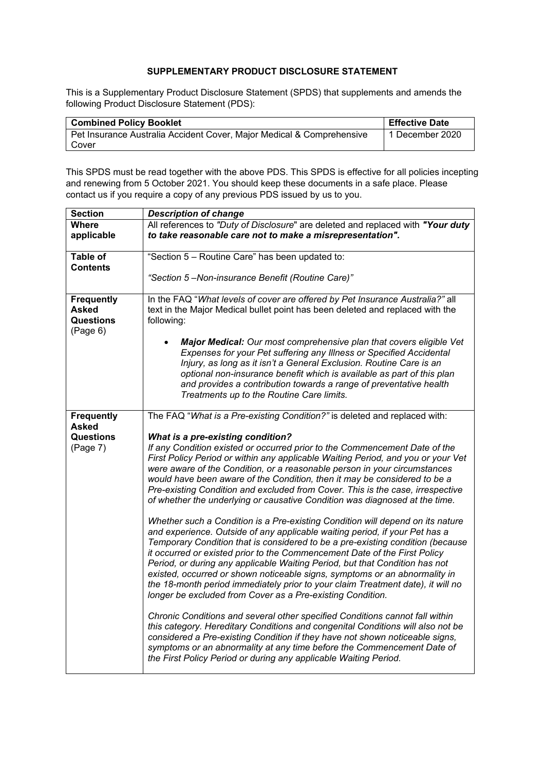## **SUPPLEMENTARY PRODUCT DISCLOSURE STATEMENT**

This is a Supplementary Product Disclosure Statement (SPDS) that supplements and amends the following Product Disclosure Statement (PDS):

| <b>Combined Policy Booklet</b>                                        | <b>Effective Date</b> |
|-----------------------------------------------------------------------|-----------------------|
| Pet Insurance Australia Accident Cover, Major Medical & Comprehensive | 1 December 2020       |
| Cover                                                                 |                       |

This SPDS must be read together with the above PDS. This SPDS is effective for all policies incepting and renewing from 5 October 2021. You should keep these documents in a safe place. Please contact us if you require a copy of any previous PDS issued by us to you.

| <b>Section</b>    | <b>Description of change</b>                                                                                                                                                                                                                                                                                                                                                                                   |
|-------------------|----------------------------------------------------------------------------------------------------------------------------------------------------------------------------------------------------------------------------------------------------------------------------------------------------------------------------------------------------------------------------------------------------------------|
| <b>Where</b>      | All references to "Duty of Disclosure" are deleted and replaced with "Your duty                                                                                                                                                                                                                                                                                                                                |
| applicable        | to take reasonable care not to make a misrepresentation".                                                                                                                                                                                                                                                                                                                                                      |
|                   |                                                                                                                                                                                                                                                                                                                                                                                                                |
| <b>Table of</b>   | "Section 5 - Routine Care" has been updated to:                                                                                                                                                                                                                                                                                                                                                                |
| <b>Contents</b>   |                                                                                                                                                                                                                                                                                                                                                                                                                |
|                   | "Section 5-Non-insurance Benefit (Routine Care)"                                                                                                                                                                                                                                                                                                                                                               |
| <b>Frequently</b> | In the FAQ "What levels of cover are offered by Pet Insurance Australia?" all                                                                                                                                                                                                                                                                                                                                  |
| <b>Asked</b>      | text in the Major Medical bullet point has been deleted and replaced with the                                                                                                                                                                                                                                                                                                                                  |
| <b>Questions</b>  | following:                                                                                                                                                                                                                                                                                                                                                                                                     |
| (Page 6)          |                                                                                                                                                                                                                                                                                                                                                                                                                |
|                   | Major Medical: Our most comprehensive plan that covers eligible Vet<br>Expenses for your Pet suffering any Illness or Specified Accidental<br>Injury, as long as it isn't a General Exclusion. Routine Care is an<br>optional non-insurance benefit which is available as part of this plan<br>and provides a contribution towards a range of preventative health<br>Treatments up to the Routine Care limits. |
| <b>Frequently</b> | The FAQ "What is a Pre-existing Condition?" is deleted and replaced with:                                                                                                                                                                                                                                                                                                                                      |
| <b>Asked</b>      |                                                                                                                                                                                                                                                                                                                                                                                                                |
| <b>Questions</b>  | What is a pre-existing condition?                                                                                                                                                                                                                                                                                                                                                                              |
| (Page 7)          | If any Condition existed or occurred prior to the Commencement Date of the                                                                                                                                                                                                                                                                                                                                     |
|                   | First Policy Period or within any applicable Waiting Period, and you or your Vet                                                                                                                                                                                                                                                                                                                               |
|                   | were aware of the Condition, or a reasonable person in your circumstances                                                                                                                                                                                                                                                                                                                                      |
|                   | would have been aware of the Condition, then it may be considered to be a                                                                                                                                                                                                                                                                                                                                      |
|                   | Pre-existing Condition and excluded from Cover. This is the case, irrespective<br>of whether the underlying or causative Condition was diagnosed at the time.                                                                                                                                                                                                                                                  |
|                   |                                                                                                                                                                                                                                                                                                                                                                                                                |
|                   | Whether such a Condition is a Pre-existing Condition will depend on its nature                                                                                                                                                                                                                                                                                                                                 |
|                   | and experience. Outside of any applicable waiting period, if your Pet has a                                                                                                                                                                                                                                                                                                                                    |
|                   | Temporary Condition that is considered to be a pre-existing condition (because                                                                                                                                                                                                                                                                                                                                 |
|                   | it occurred or existed prior to the Commencement Date of the First Policy                                                                                                                                                                                                                                                                                                                                      |
|                   | Period, or during any applicable Waiting Period, but that Condition has not                                                                                                                                                                                                                                                                                                                                    |
|                   | existed, occurred or shown noticeable signs, symptoms or an abnormality in                                                                                                                                                                                                                                                                                                                                     |
|                   | the 18-month period immediately prior to your claim Treatment date), it will no                                                                                                                                                                                                                                                                                                                                |
|                   | longer be excluded from Cover as a Pre-existing Condition.                                                                                                                                                                                                                                                                                                                                                     |
|                   | Chronic Conditions and several other specified Conditions cannot fall within                                                                                                                                                                                                                                                                                                                                   |
|                   | this category. Hereditary Conditions and congenital Conditions will also not be                                                                                                                                                                                                                                                                                                                                |
|                   | considered a Pre-existing Condition if they have not shown noticeable signs,                                                                                                                                                                                                                                                                                                                                   |
|                   | symptoms or an abnormality at any time before the Commencement Date of                                                                                                                                                                                                                                                                                                                                         |
|                   | the First Policy Period or during any applicable Waiting Period.                                                                                                                                                                                                                                                                                                                                               |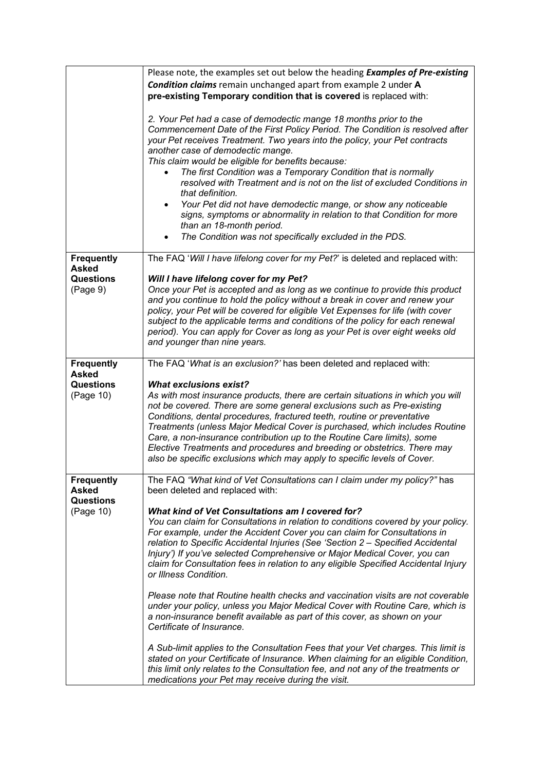|                                                | Please note, the examples set out below the heading <b>Examples of Pre-existing</b>                                                                                                                                                                                                                                                                                                                                                                                                                                                                                                                                                                                                                                                          |
|------------------------------------------------|----------------------------------------------------------------------------------------------------------------------------------------------------------------------------------------------------------------------------------------------------------------------------------------------------------------------------------------------------------------------------------------------------------------------------------------------------------------------------------------------------------------------------------------------------------------------------------------------------------------------------------------------------------------------------------------------------------------------------------------------|
|                                                | <b>Condition claims</b> remain unchanged apart from example 2 under A                                                                                                                                                                                                                                                                                                                                                                                                                                                                                                                                                                                                                                                                        |
|                                                | pre-existing Temporary condition that is covered is replaced with:                                                                                                                                                                                                                                                                                                                                                                                                                                                                                                                                                                                                                                                                           |
|                                                | 2. Your Pet had a case of demodectic mange 18 months prior to the<br>Commencement Date of the First Policy Period. The Condition is resolved after<br>your Pet receives Treatment. Two years into the policy, your Pet contracts<br>another case of demodectic mange.<br>This claim would be eligible for benefits because:<br>The first Condition was a Temporary Condition that is normally<br>resolved with Treatment and is not on the list of excluded Conditions in<br>that definition.<br>Your Pet did not have demodectic mange, or show any noticeable<br>$\bullet$<br>signs, symptoms or abnormality in relation to that Condition for more<br>than an 18-month period.<br>The Condition was not specifically excluded in the PDS. |
| <b>Frequently</b>                              | The FAQ 'Will I have lifelong cover for my Pet?' is deleted and replaced with:                                                                                                                                                                                                                                                                                                                                                                                                                                                                                                                                                                                                                                                               |
| <b>Asked</b><br><b>Questions</b><br>(Page 9)   | Will I have lifelong cover for my Pet?<br>Once your Pet is accepted and as long as we continue to provide this product<br>and you continue to hold the policy without a break in cover and renew your<br>policy, your Pet will be covered for eligible Vet Expenses for life (with cover<br>subject to the applicable terms and conditions of the policy for each renewal<br>period). You can apply for Cover as long as your Pet is over eight weeks old<br>and younger than nine years.                                                                                                                                                                                                                                                    |
| <b>Frequently</b>                              | The FAQ 'What is an exclusion?' has been deleted and replaced with:                                                                                                                                                                                                                                                                                                                                                                                                                                                                                                                                                                                                                                                                          |
| <b>Asked</b>                                   |                                                                                                                                                                                                                                                                                                                                                                                                                                                                                                                                                                                                                                                                                                                                              |
| Questions<br>(Page 10)                         | <b>What exclusions exist?</b><br>As with most insurance products, there are certain situations in which you will<br>not be covered. There are some general exclusions such as Pre-existing<br>Conditions, dental procedures, fractured teeth, routine or preventative<br>Treatments (unless Major Medical Cover is purchased, which includes Routine<br>Care, a non-insurance contribution up to the Routine Care limits), some<br>Elective Treatments and procedures and breeding or obstetrics. There may<br>also be specific exclusions which may apply to specific levels of Cover.                                                                                                                                                      |
| Frequently<br><b>Asked</b><br><b>Questions</b> | The FAQ "What kind of Vet Consultations can I claim under my policy?" has<br>been deleted and replaced with:                                                                                                                                                                                                                                                                                                                                                                                                                                                                                                                                                                                                                                 |
| (Page 10)                                      | <b>What kind of Vet Consultations am I covered for?</b><br>You can claim for Consultations in relation to conditions covered by your policy.<br>For example, under the Accident Cover you can claim for Consultations in<br>relation to Specific Accidental Injuries (See 'Section 2 - Specified Accidental<br>Injury') If you've selected Comprehensive or Major Medical Cover, you can<br>claim for Consultation fees in relation to any eligible Specified Accidental Injury<br>or Illness Condition.                                                                                                                                                                                                                                     |
|                                                | Please note that Routine health checks and vaccination visits are not coverable<br>under your policy, unless you Major Medical Cover with Routine Care, which is<br>a non-insurance benefit available as part of this cover, as shown on your<br>Certificate of Insurance.                                                                                                                                                                                                                                                                                                                                                                                                                                                                   |
|                                                | A Sub-limit applies to the Consultation Fees that your Vet charges. This limit is<br>stated on your Certificate of Insurance. When claiming for an eligible Condition,<br>this limit only relates to the Consultation fee, and not any of the treatments or<br>medications your Pet may receive during the visit.                                                                                                                                                                                                                                                                                                                                                                                                                            |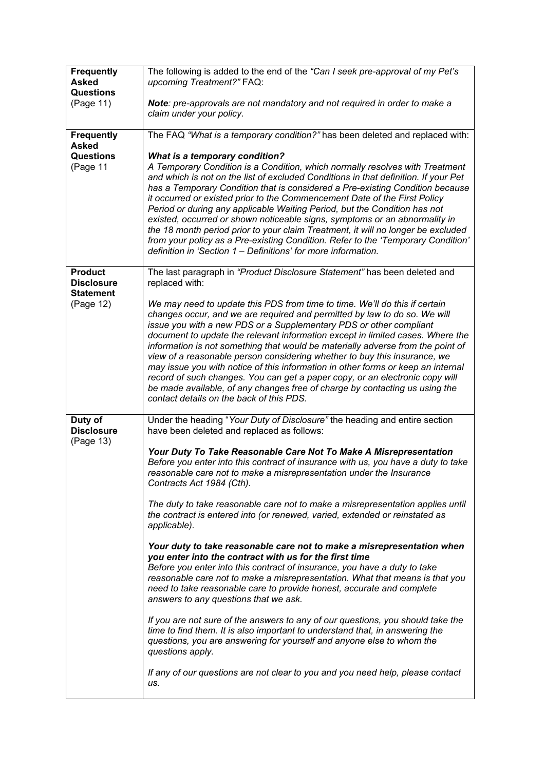| <b>Frequently</b><br><b>Asked</b>                       | The following is added to the end of the "Can I seek pre-approval of my Pet's<br>upcoming Treatment?" FAQ:                                                                                                                                                                                                                                                                                                                                                                                                                                                                                                                                                                                                                                                                     |
|---------------------------------------------------------|--------------------------------------------------------------------------------------------------------------------------------------------------------------------------------------------------------------------------------------------------------------------------------------------------------------------------------------------------------------------------------------------------------------------------------------------------------------------------------------------------------------------------------------------------------------------------------------------------------------------------------------------------------------------------------------------------------------------------------------------------------------------------------|
| <b>Questions</b><br>(Page 11)                           | Note: pre-approvals are not mandatory and not required in order to make a<br>claim under your policy.                                                                                                                                                                                                                                                                                                                                                                                                                                                                                                                                                                                                                                                                          |
| <b>Frequently</b><br><b>Asked</b>                       | The FAQ "What is a temporary condition?" has been deleted and replaced with:                                                                                                                                                                                                                                                                                                                                                                                                                                                                                                                                                                                                                                                                                                   |
| Questions<br>(Page 11                                   | <b>What is a temporary condition?</b><br>A Temporary Condition is a Condition, which normally resolves with Treatment<br>and which is not on the list of excluded Conditions in that definition. If your Pet<br>has a Temporary Condition that is considered a Pre-existing Condition because                                                                                                                                                                                                                                                                                                                                                                                                                                                                                  |
|                                                         | it occurred or existed prior to the Commencement Date of the First Policy<br>Period or during any applicable Waiting Period, but the Condition has not<br>existed, occurred or shown noticeable signs, symptoms or an abnormality in<br>the 18 month period prior to your claim Treatment, it will no longer be excluded<br>from your policy as a Pre-existing Condition. Refer to the 'Temporary Condition'<br>definition in 'Section 1 – Definitions' for more information.                                                                                                                                                                                                                                                                                                  |
| <b>Product</b><br><b>Disclosure</b><br><b>Statement</b> | The last paragraph in "Product Disclosure Statement" has been deleted and<br>replaced with:                                                                                                                                                                                                                                                                                                                                                                                                                                                                                                                                                                                                                                                                                    |
| (Page 12)                                               | We may need to update this PDS from time to time. We'll do this if certain<br>changes occur, and we are required and permitted by law to do so. We will<br>issue you with a new PDS or a Supplementary PDS or other compliant<br>document to update the relevant information except in limited cases. Where the<br>information is not something that would be materially adverse from the point of<br>view of a reasonable person considering whether to buy this insurance, we<br>may issue you with notice of this information in other forms or keep an internal<br>record of such changes. You can get a paper copy, or an electronic copy will<br>be made available, of any changes free of charge by contacting us using the<br>contact details on the back of this PDS. |
| Duty of<br><b>Disclosure</b><br>(Page 13)               | Under the heading "Your Duty of Disclosure" the heading and entire section<br>have been deleted and replaced as follows:                                                                                                                                                                                                                                                                                                                                                                                                                                                                                                                                                                                                                                                       |
|                                                         | Your Duty To Take Reasonable Care Not To Make A Misrepresentation<br>Before you enter into this contract of insurance with us, you have a duty to take<br>reasonable care not to make a misrepresentation under the Insurance<br>Contracts Act 1984 (Cth).                                                                                                                                                                                                                                                                                                                                                                                                                                                                                                                     |
|                                                         | The duty to take reasonable care not to make a misrepresentation applies until<br>the contract is entered into (or renewed, varied, extended or reinstated as<br>applicable).                                                                                                                                                                                                                                                                                                                                                                                                                                                                                                                                                                                                  |
|                                                         | Your duty to take reasonable care not to make a misrepresentation when<br>you enter into the contract with us for the first time<br>Before you enter into this contract of insurance, you have a duty to take<br>reasonable care not to make a misrepresentation. What that means is that you<br>need to take reasonable care to provide honest, accurate and complete<br>answers to any questions that we ask.                                                                                                                                                                                                                                                                                                                                                                |
|                                                         | If you are not sure of the answers to any of our questions, you should take the<br>time to find them. It is also important to understand that, in answering the<br>questions, you are answering for yourself and anyone else to whom the<br>questions apply.                                                                                                                                                                                                                                                                                                                                                                                                                                                                                                                   |
|                                                         | If any of our questions are not clear to you and you need help, please contact<br>us.                                                                                                                                                                                                                                                                                                                                                                                                                                                                                                                                                                                                                                                                                          |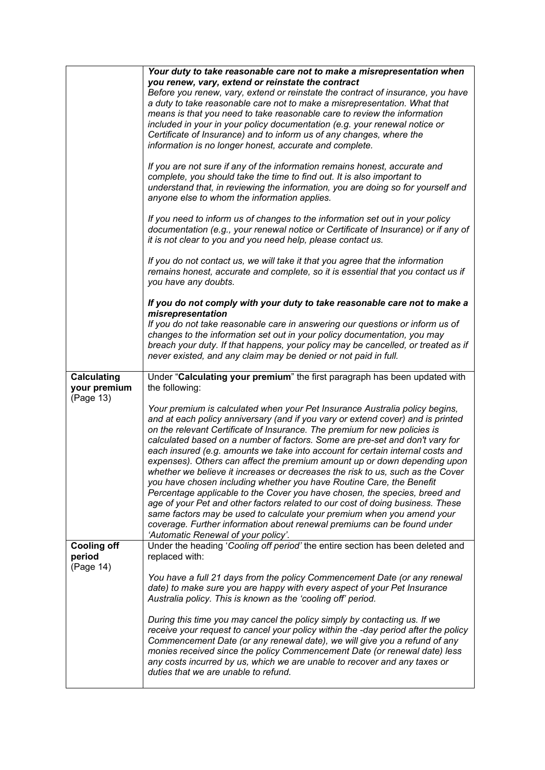|                                                 | Your duty to take reasonable care not to make a misrepresentation when<br>you renew, vary, extend or reinstate the contract<br>Before you renew, vary, extend or reinstate the contract of insurance, you have<br>a duty to take reasonable care not to make a misrepresentation. What that<br>means is that you need to take reasonable care to review the information<br>included in your in your policy documentation (e.g. your renewal notice or<br>Certificate of Insurance) and to inform us of any changes, where the<br>information is no longer honest, accurate and complete.                                                                                                                                                                                                                                                                                                                                                                                                                         |
|-------------------------------------------------|------------------------------------------------------------------------------------------------------------------------------------------------------------------------------------------------------------------------------------------------------------------------------------------------------------------------------------------------------------------------------------------------------------------------------------------------------------------------------------------------------------------------------------------------------------------------------------------------------------------------------------------------------------------------------------------------------------------------------------------------------------------------------------------------------------------------------------------------------------------------------------------------------------------------------------------------------------------------------------------------------------------|
|                                                 | If you are not sure if any of the information remains honest, accurate and<br>complete, you should take the time to find out. It is also important to<br>understand that, in reviewing the information, you are doing so for yourself and<br>anyone else to whom the information applies.                                                                                                                                                                                                                                                                                                                                                                                                                                                                                                                                                                                                                                                                                                                        |
|                                                 | If you need to inform us of changes to the information set out in your policy<br>documentation (e.g., your renewal notice or Certificate of Insurance) or if any of<br>it is not clear to you and you need help, please contact us.                                                                                                                                                                                                                                                                                                                                                                                                                                                                                                                                                                                                                                                                                                                                                                              |
|                                                 | If you do not contact us, we will take it that you agree that the information<br>remains honest, accurate and complete, so it is essential that you contact us if<br>you have any doubts.                                                                                                                                                                                                                                                                                                                                                                                                                                                                                                                                                                                                                                                                                                                                                                                                                        |
|                                                 | If you do not comply with your duty to take reasonable care not to make a<br>misrepresentation<br>If you do not take reasonable care in answering our questions or inform us of<br>changes to the information set out in your policy documentation, you may<br>breach your duty. If that happens, your policy may be cancelled, or treated as if<br>never existed, and any claim may be denied or not paid in full.                                                                                                                                                                                                                                                                                                                                                                                                                                                                                                                                                                                              |
| <b>Calculating</b><br>your premium<br>(Page 13) | Under "Calculating your premium" the first paragraph has been updated with<br>the following:                                                                                                                                                                                                                                                                                                                                                                                                                                                                                                                                                                                                                                                                                                                                                                                                                                                                                                                     |
|                                                 | Your premium is calculated when your Pet Insurance Australia policy begins,<br>and at each policy anniversary (and if you vary or extend cover) and is printed<br>on the relevant Certificate of Insurance. The premium for new policies is<br>calculated based on a number of factors. Some are pre-set and don't vary for<br>each insured (e.g. amounts we take into account for certain internal costs and<br>expenses). Others can affect the premium amount up or down depending upon<br>whether we believe it increases or decreases the risk to us, such as the Cover<br>you have chosen including whether you have Routine Care, the Benefit<br>Percentage applicable to the Cover you have chosen, the species, breed and<br>age of your Pet and other factors related to our cost of doing business. These<br>same factors may be used to calculate your premium when you amend your<br>coverage. Further information about renewal premiums can be found under<br>'Automatic Renewal of your policy'. |
| <b>Cooling off</b><br>period<br>(Page 14)       | Under the heading 'Cooling off period' the entire section has been deleted and<br>replaced with:                                                                                                                                                                                                                                                                                                                                                                                                                                                                                                                                                                                                                                                                                                                                                                                                                                                                                                                 |
|                                                 | You have a full 21 days from the policy Commencement Date (or any renewal<br>date) to make sure you are happy with every aspect of your Pet Insurance<br>Australia policy. This is known as the 'cooling off' period.                                                                                                                                                                                                                                                                                                                                                                                                                                                                                                                                                                                                                                                                                                                                                                                            |
|                                                 | During this time you may cancel the policy simply by contacting us. If we<br>receive your request to cancel your policy within the -day period after the policy<br>Commencement Date (or any renewal date), we will give you a refund of any<br>monies received since the policy Commencement Date (or renewal date) less<br>any costs incurred by us, which we are unable to recover and any taxes or<br>duties that we are unable to refund.                                                                                                                                                                                                                                                                                                                                                                                                                                                                                                                                                                   |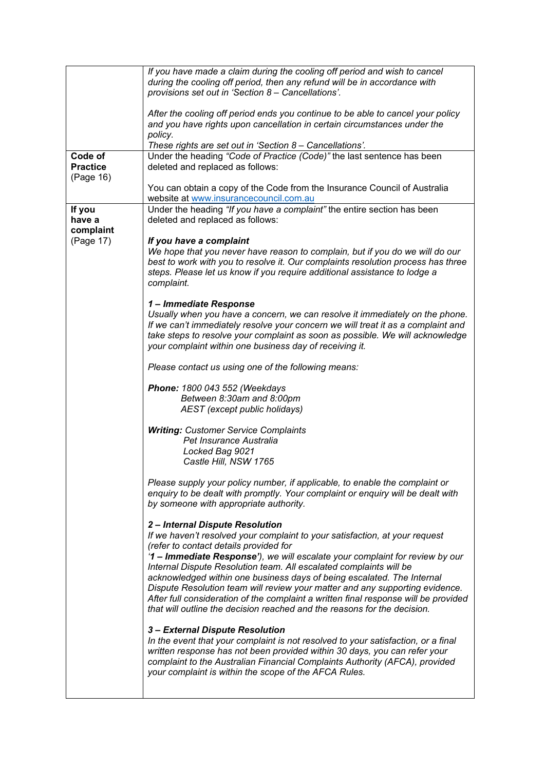|                            | If you have made a claim during the cooling off period and wish to cancel<br>during the cooling off period, then any refund will be in accordance with<br>provisions set out in 'Section 8 - Cancellations'.                                                                                                                                                                                                                                                                                                                                                                                                                                                                                                                                                                                                                                   |
|----------------------------|------------------------------------------------------------------------------------------------------------------------------------------------------------------------------------------------------------------------------------------------------------------------------------------------------------------------------------------------------------------------------------------------------------------------------------------------------------------------------------------------------------------------------------------------------------------------------------------------------------------------------------------------------------------------------------------------------------------------------------------------------------------------------------------------------------------------------------------------|
|                            | After the cooling off period ends you continue to be able to cancel your policy<br>and you have rights upon cancellation in certain circumstances under the                                                                                                                                                                                                                                                                                                                                                                                                                                                                                                                                                                                                                                                                                    |
|                            | policy.<br>These rights are set out in 'Section 8 - Cancellations'.                                                                                                                                                                                                                                                                                                                                                                                                                                                                                                                                                                                                                                                                                                                                                                            |
| Code of<br><b>Practice</b> | Under the heading "Code of Practice (Code)" the last sentence has been<br>deleted and replaced as follows:                                                                                                                                                                                                                                                                                                                                                                                                                                                                                                                                                                                                                                                                                                                                     |
| (Page 16)                  |                                                                                                                                                                                                                                                                                                                                                                                                                                                                                                                                                                                                                                                                                                                                                                                                                                                |
|                            | You can obtain a copy of the Code from the Insurance Council of Australia<br>website at www.insurancecouncil.com.au                                                                                                                                                                                                                                                                                                                                                                                                                                                                                                                                                                                                                                                                                                                            |
| If you<br>have a           | Under the heading "If you have a complaint" the entire section has been<br>deleted and replaced as follows:                                                                                                                                                                                                                                                                                                                                                                                                                                                                                                                                                                                                                                                                                                                                    |
| complaint                  |                                                                                                                                                                                                                                                                                                                                                                                                                                                                                                                                                                                                                                                                                                                                                                                                                                                |
| (Page 17)                  | If you have a complaint<br>We hope that you never have reason to complain, but if you do we will do our<br>best to work with you to resolve it. Our complaints resolution process has three<br>steps. Please let us know if you require additional assistance to lodge a<br>complaint.                                                                                                                                                                                                                                                                                                                                                                                                                                                                                                                                                         |
|                            | 1- Immediate Response<br>Usually when you have a concern, we can resolve it immediately on the phone.<br>If we can't immediately resolve your concern we will treat it as a complaint and<br>take steps to resolve your complaint as soon as possible. We will acknowledge<br>your complaint within one business day of receiving it.                                                                                                                                                                                                                                                                                                                                                                                                                                                                                                          |
|                            | Please contact us using one of the following means:                                                                                                                                                                                                                                                                                                                                                                                                                                                                                                                                                                                                                                                                                                                                                                                            |
|                            | Phone: 1800 043 552 (Weekdays<br>Between 8:30am and 8:00pm<br>AEST (except public holidays)                                                                                                                                                                                                                                                                                                                                                                                                                                                                                                                                                                                                                                                                                                                                                    |
|                            | <b>Writing: Customer Service Complaints</b><br>Pet Insurance Australia<br>Locked Bag 9021<br>Castle Hill, NSW 1765                                                                                                                                                                                                                                                                                                                                                                                                                                                                                                                                                                                                                                                                                                                             |
|                            | Please supply your policy number, if applicable, to enable the complaint or<br>enquiry to be dealt with promptly. Your complaint or enquiry will be dealt with<br>by someone with appropriate authority.                                                                                                                                                                                                                                                                                                                                                                                                                                                                                                                                                                                                                                       |
|                            | 2-Internal Dispute Resolution<br>If we haven't resolved your complaint to your satisfaction, at your request<br>(refer to contact details provided for<br>'1 - Immediate Response'), we will escalate your complaint for review by our<br>Internal Dispute Resolution team. All escalated complaints will be<br>acknowledged within one business days of being escalated. The Internal<br>Dispute Resolution team will review your matter and any supporting evidence.<br>After full consideration of the complaint a written final response will be provided<br>that will outline the decision reached and the reasons for the decision.<br>3 - External Dispute Resolution<br>In the event that your complaint is not resolved to your satisfaction, or a final<br>written response has not been provided within 30 days, you can refer your |
|                            | complaint to the Australian Financial Complaints Authority (AFCA), provided<br>your complaint is within the scope of the AFCA Rules.                                                                                                                                                                                                                                                                                                                                                                                                                                                                                                                                                                                                                                                                                                           |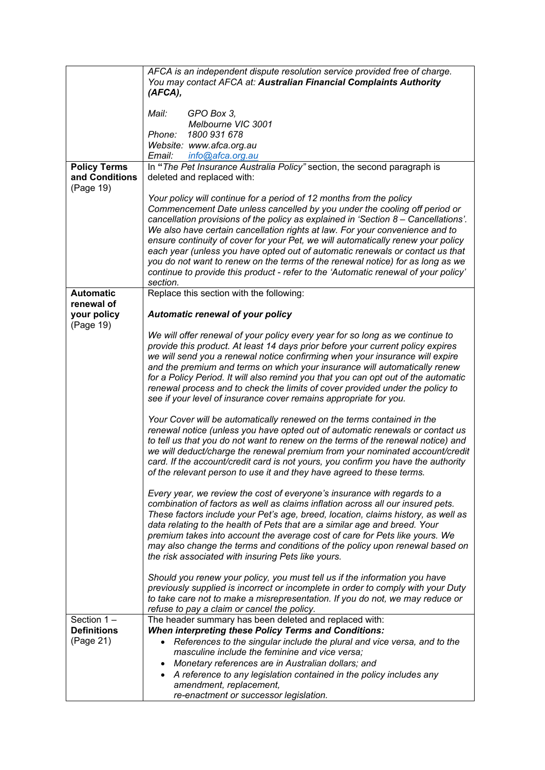|                                        | AFCA is an independent dispute resolution service provided free of charge.<br>You may contact AFCA at: Australian Financial Complaints Authority<br>(AFCA),                                                                                                                                                                                                                                                                                                                                                                                                                                                                                                                     |
|----------------------------------------|---------------------------------------------------------------------------------------------------------------------------------------------------------------------------------------------------------------------------------------------------------------------------------------------------------------------------------------------------------------------------------------------------------------------------------------------------------------------------------------------------------------------------------------------------------------------------------------------------------------------------------------------------------------------------------|
|                                        | Mail:<br>GPO Box 3,<br>Melbourne VIC 3001<br>Phone:<br>1800 931 678<br>Website: www.afca.org.au<br>Email: info@afca.org.au                                                                                                                                                                                                                                                                                                                                                                                                                                                                                                                                                      |
| <b>Policy Terms</b>                    | In "The Pet Insurance Australia Policy" section, the second paragraph is                                                                                                                                                                                                                                                                                                                                                                                                                                                                                                                                                                                                        |
| and Conditions<br>(Page 19)            | deleted and replaced with:                                                                                                                                                                                                                                                                                                                                                                                                                                                                                                                                                                                                                                                      |
|                                        | Your policy will continue for a period of 12 months from the policy<br>Commencement Date unless cancelled by you under the cooling off period or<br>cancellation provisions of the policy as explained in 'Section 8 – Cancellations'.<br>We also have certain cancellation rights at law. For your convenience and to<br>ensure continuity of cover for your Pet, we will automatically renew your policy<br>each year (unless you have opted out of automatic renewals or contact us that<br>you do not want to renew on the terms of the renewal notice) for as long as we<br>continue to provide this product - refer to the 'Automatic renewal of your policy'<br>section. |
| <b>Automatic</b>                       | Replace this section with the following:                                                                                                                                                                                                                                                                                                                                                                                                                                                                                                                                                                                                                                        |
| renewal of<br>your policy<br>(Page 19) | <b>Automatic renewal of your policy</b>                                                                                                                                                                                                                                                                                                                                                                                                                                                                                                                                                                                                                                         |
|                                        | We will offer renewal of your policy every year for so long as we continue to<br>provide this product. At least 14 days prior before your current policy expires<br>we will send you a renewal notice confirming when your insurance will expire<br>and the premium and terms on which your insurance will automatically renew<br>for a Policy Period. It will also remind you that you can opt out of the automatic<br>renewal process and to check the limits of cover provided under the policy to<br>see if your level of insurance cover remains appropriate for you.                                                                                                      |
|                                        | Your Cover will be automatically renewed on the terms contained in the<br>renewal notice (unless you have opted out of automatic renewals or contact us<br>to tell us that you do not want to renew on the terms of the renewal notice) and<br>we will deduct/charge the renewal premium from your nominated account/credit<br>card. If the account/credit card is not yours, you confirm you have the authority<br>of the relevant person to use it and they have agreed to these terms.                                                                                                                                                                                       |
|                                        | Every year, we review the cost of everyone's insurance with regards to a<br>combination of factors as well as claims inflation across all our insured pets.<br>These factors include your Pet's age, breed, location, claims history, as well as<br>data relating to the health of Pets that are a similar age and breed. Your<br>premium takes into account the average cost of care for Pets like yours. We<br>may also change the terms and conditions of the policy upon renewal based on<br>the risk associated with insuring Pets like yours.                                                                                                                             |
|                                        | Should you renew your policy, you must tell us if the information you have<br>previously supplied is incorrect or incomplete in order to comply with your Duty<br>to take care not to make a misrepresentation. If you do not, we may reduce or<br>refuse to pay a claim or cancel the policy.                                                                                                                                                                                                                                                                                                                                                                                  |
| Section 1-                             | The header summary has been deleted and replaced with:                                                                                                                                                                                                                                                                                                                                                                                                                                                                                                                                                                                                                          |
| <b>Definitions</b><br>(Page 21)        | <b>When interpreting these Policy Terms and Conditions:</b><br>References to the singular include the plural and vice versa, and to the<br>$\bullet$<br>masculine include the feminine and vice versa:<br>Monetary references are in Australian dollars; and<br>$\bullet$<br>• A reference to any legislation contained in the policy includes any<br>amendment, replacement,                                                                                                                                                                                                                                                                                                   |
|                                        | re-enactment or successor legislation.                                                                                                                                                                                                                                                                                                                                                                                                                                                                                                                                                                                                                                          |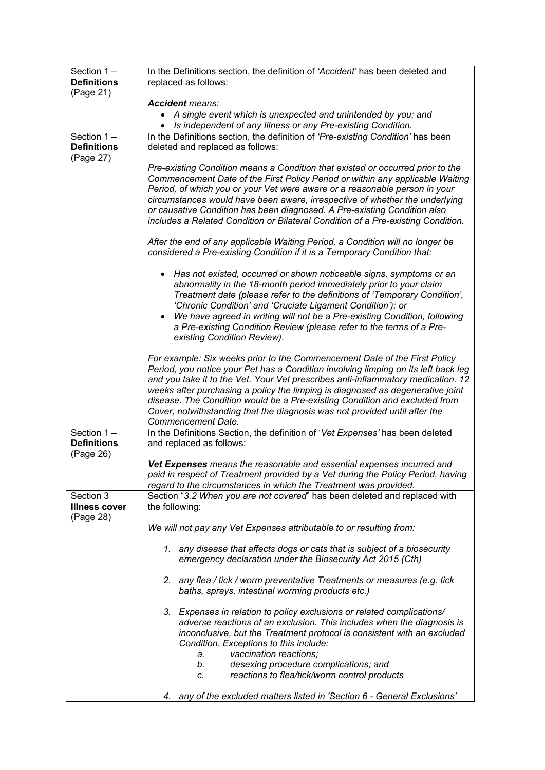| Section $1 -$                   | In the Definitions section, the definition of 'Accident' has been deleted and                                                                                          |
|---------------------------------|------------------------------------------------------------------------------------------------------------------------------------------------------------------------|
| <b>Definitions</b><br>(Page 21) | replaced as follows:                                                                                                                                                   |
|                                 | <b>Accident means:</b>                                                                                                                                                 |
|                                 | A single event which is unexpected and unintended by you; and                                                                                                          |
| Section $1 -$                   | • Is independent of any Illness or any Pre-existing Condition.<br>In the Definitions section, the definition of 'Pre-existing Condition' has been                      |
| <b>Definitions</b>              | deleted and replaced as follows:                                                                                                                                       |
| (Page 27)                       |                                                                                                                                                                        |
|                                 | Pre-existing Condition means a Condition that existed or occurred prior to the<br>Commencement Date of the First Policy Period or within any applicable Waiting        |
|                                 | Period, of which you or your Vet were aware or a reasonable person in your                                                                                             |
|                                 | circumstances would have been aware, irrespective of whether the underlying                                                                                            |
|                                 | or causative Condition has been diagnosed. A Pre-existing Condition also<br>includes a Related Condition or Bilateral Condition of a Pre-existing Condition.           |
|                                 |                                                                                                                                                                        |
|                                 | After the end of any applicable Waiting Period, a Condition will no longer be                                                                                          |
|                                 | considered a Pre-existing Condition if it is a Temporary Condition that:                                                                                               |
|                                 | • Has not existed, occurred or shown noticeable signs, symptoms or an                                                                                                  |
|                                 | abnormality in the 18-month period immediately prior to your claim<br>Treatment date (please refer to the definitions of 'Temporary Condition',                        |
|                                 | 'Chronic Condition' and 'Cruciate Ligament Condition'); or                                                                                                             |
|                                 | We have agreed in writing will not be a Pre-existing Condition, following<br>$\bullet$                                                                                 |
|                                 | a Pre-existing Condition Review (please refer to the terms of a Pre-<br>existing Condition Review).                                                                    |
|                                 |                                                                                                                                                                        |
|                                 | For example: Six weeks prior to the Commencement Date of the First Policy                                                                                              |
|                                 | Period, you notice your Pet has a Condition involving limping on its left back leg<br>and you take it to the Vet. Your Vet prescribes anti-inflammatory medication. 12 |
|                                 | weeks after purchasing a policy the limping is diagnosed as degenerative joint                                                                                         |
|                                 | disease. The Condition would be a Pre-existing Condition and excluded from<br>Cover, notwithstanding that the diagnosis was not provided until after the               |
|                                 | Commencement Date.                                                                                                                                                     |
| Section $1 -$                   | In the Definitions Section, the definition of 'Vet Expenses' has been deleted                                                                                          |
| <b>Definitions</b><br>(Page 26) | and replaced as follows:                                                                                                                                               |
|                                 | Vet Expenses means the reasonable and essential expenses incurred and                                                                                                  |
|                                 | paid in respect of Treatment provided by a Vet during the Policy Period, having<br>regard to the circumstances in which the Treatment was provided.                    |
| Section 3                       | Section "3.2 When you are not covered" has been deleted and replaced with                                                                                              |
| <b>Illness cover</b>            | the following:                                                                                                                                                         |
| (Page 28)                       | We will not pay any Vet Expenses attributable to or resulting from:                                                                                                    |
|                                 |                                                                                                                                                                        |
|                                 | any disease that affects dogs or cats that is subject of a biosecurity<br>1.<br>emergency declaration under the Biosecurity Act 2015 (Cth)                             |
|                                 |                                                                                                                                                                        |
|                                 | any flea / tick / worm preventative Treatments or measures (e.g. tick<br>2.<br>baths, sprays, intestinal worming products etc.)                                        |
|                                 |                                                                                                                                                                        |
|                                 | 3. Expenses in relation to policy exclusions or related complications/                                                                                                 |
|                                 | adverse reactions of an exclusion. This includes when the diagnosis is<br>inconclusive, but the Treatment protocol is consistent with an excluded                      |
|                                 | Condition. Exceptions to this include:                                                                                                                                 |
|                                 | vaccination reactions;<br>a.                                                                                                                                           |
|                                 | desexing procedure complications; and<br>b.<br>reactions to flea/tick/worm control products<br>C.                                                                      |
|                                 |                                                                                                                                                                        |
|                                 | 4. any of the excluded matters listed in 'Section 6 - General Exclusions'                                                                                              |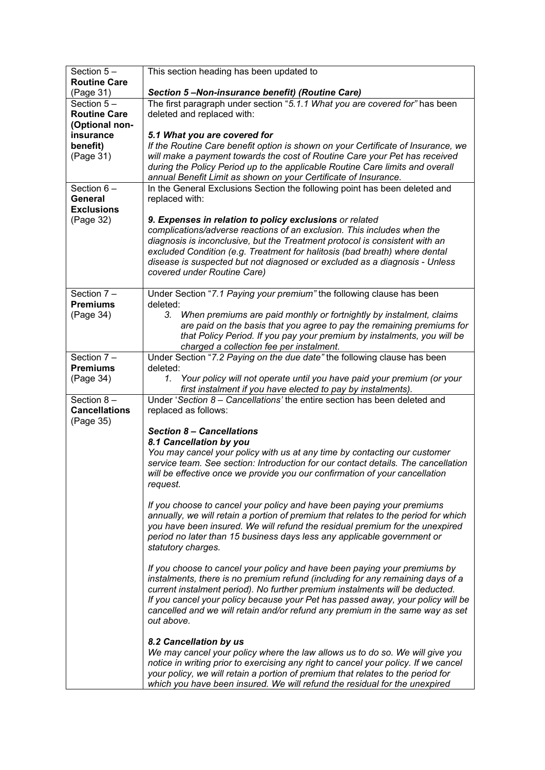| Section 5-                       | This section heading has been updated to                                                                                                                     |
|----------------------------------|--------------------------------------------------------------------------------------------------------------------------------------------------------------|
| <b>Routine Care</b><br>(Page 31) | Section 5-Non-insurance benefit) (Routine Care)                                                                                                              |
| Section $5-$                     | The first paragraph under section "5.1.1 What you are covered for" has been                                                                                  |
| <b>Routine Care</b>              | deleted and replaced with:                                                                                                                                   |
| (Optional non-                   |                                                                                                                                                              |
| insurance                        | 5.1 What you are covered for                                                                                                                                 |
| benefit)                         | If the Routine Care benefit option is shown on your Certificate of Insurance, we                                                                             |
| (Page 31)                        | will make a payment towards the cost of Routine Care your Pet has received                                                                                   |
|                                  | during the Policy Period up to the applicable Routine Care limits and overall                                                                                |
|                                  | annual Benefit Limit as shown on your Certificate of Insurance.                                                                                              |
| Section $6 -$                    | In the General Exclusions Section the following point has been deleted and                                                                                   |
| General                          | replaced with:                                                                                                                                               |
| <b>Exclusions</b>                |                                                                                                                                                              |
| (Page 32)                        | 9. Expenses in relation to policy exclusions or related<br>complications/adverse reactions of an exclusion. This includes when the                           |
|                                  | diagnosis is inconclusive, but the Treatment protocol is consistent with an                                                                                  |
|                                  | excluded Condition (e.g. Treatment for halitosis (bad breath) where dental                                                                                   |
|                                  | disease is suspected but not diagnosed or excluded as a diagnosis - Unless                                                                                   |
|                                  | covered under Routine Care)                                                                                                                                  |
|                                  |                                                                                                                                                              |
| Section 7-                       | Under Section "7.1 Paying your premium" the following clause has been                                                                                        |
| <b>Premiums</b>                  | deleted:                                                                                                                                                     |
| (Page 34)                        | 3. When premiums are paid monthly or fortnightly by instalment, claims                                                                                       |
|                                  | are paid on the basis that you agree to pay the remaining premiums for<br>that Policy Period. If you pay your premium by instalments, you will be            |
|                                  | charged a collection fee per instalment.                                                                                                                     |
| Section 7-                       | Under Section "7.2 Paying on the due date" the following clause has been                                                                                     |
| <b>Premiums</b>                  | deleted:                                                                                                                                                     |
| (Page 34)                        | Your policy will not operate until you have paid your premium (or your<br>1.                                                                                 |
|                                  | first instalment if you have elected to pay by instalments).                                                                                                 |
| Section $8-$                     | Under 'Section 8 - Cancellations' the entire section has been deleted and                                                                                    |
| <b>Cancellations</b>             | replaced as follows:                                                                                                                                         |
| (Page 35)                        | <b>Section 8 - Cancellations</b>                                                                                                                             |
|                                  | 8.1 Cancellation by you                                                                                                                                      |
|                                  | You may cancel your policy with us at any time by contacting our customer                                                                                    |
|                                  | service team. See section: Introduction for our contact details. The cancellation                                                                            |
|                                  | will be effective once we provide you our confirmation of your cancellation                                                                                  |
|                                  | request.                                                                                                                                                     |
|                                  |                                                                                                                                                              |
|                                  | If you choose to cancel your policy and have been paying your premiums<br>annually, we will retain a portion of premium that relates to the period for which |
|                                  | you have been insured. We will refund the residual premium for the unexpired                                                                                 |
|                                  | period no later than 15 business days less any applicable government or                                                                                      |
|                                  | statutory charges.                                                                                                                                           |
|                                  |                                                                                                                                                              |
|                                  | If you choose to cancel your policy and have been paying your premiums by                                                                                    |
|                                  | instalments, there is no premium refund (including for any remaining days of a                                                                               |
|                                  | current instalment period). No further premium instalments will be deducted.                                                                                 |
|                                  | If you cancel your policy because your Pet has passed away, your policy will be                                                                              |
|                                  | cancelled and we will retain and/or refund any premium in the same way as set<br>out above.                                                                  |
|                                  |                                                                                                                                                              |
|                                  | 8.2 Cancellation by us                                                                                                                                       |
|                                  | We may cancel your policy where the law allows us to do so. We will give you                                                                                 |
|                                  | notice in writing prior to exercising any right to cancel your policy. If we cancel                                                                          |
|                                  | your policy, we will retain a portion of premium that relates to the period for                                                                              |
|                                  | which you have been insured. We will refund the residual for the unexpired                                                                                   |